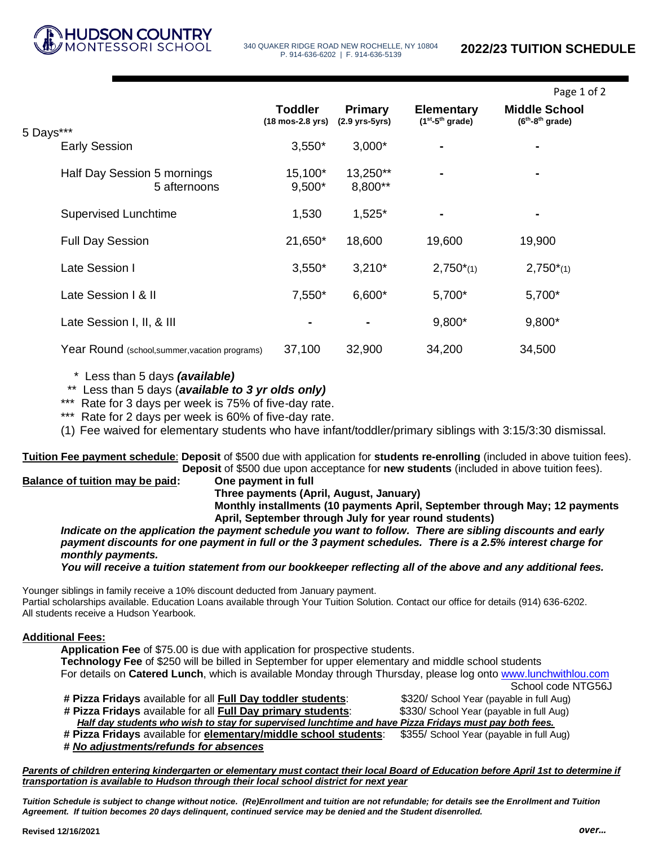

**Hudson Country Montessori** 

340 QUAKER RIDGE ROAD NEW ROCHELLE, NY 10804 P. 914-636-6202 | F. 914-636-5139

|                                                |                                                      |                                 |                                        | Page 1 of 2                               |
|------------------------------------------------|------------------------------------------------------|---------------------------------|----------------------------------------|-------------------------------------------|
|                                                | <b>Toddler</b><br>$(18 \text{ mos-}2.8 \text{ yrs})$ | Primary<br>$(2.9$ yrs- $5$ yrs) | <b>Elementary</b><br>$(1st-5th grade)$ | <b>Middle School</b><br>$(6th-8th grade)$ |
| 5 Days***<br><b>Early Session</b>              | $3,550*$                                             | $3,000*$                        |                                        |                                           |
| Half Day Session 5 mornings<br>5 afternoons    | 15,100*<br>$9,500*$                                  | 13,250**<br>8,800**             |                                        |                                           |
| <b>Supervised Lunchtime</b>                    | 1,530                                                | $1,525*$                        | $\blacksquare$                         |                                           |
| <b>Full Day Session</b>                        | 21,650*                                              | 18,600                          | 19,600                                 | 19,900                                    |
| Late Session I                                 | $3,550*$                                             | $3,210*$                        | $2,750^{*}(1)$                         | $2,750^{*}(1)$                            |
| Late Session I & II                            | 7,550*                                               | 6,600*                          | 5,700*                                 | 5,700*                                    |
| Late Session I, II, & III                      | $\blacksquare$                                       | $\blacksquare$                  | 9,800*                                 | 9,800*                                    |
| Year Round (school, summer, vacation programs) | 37,100                                               | 32,900                          | 34,200                                 | 34,500                                    |

\* Less than 5 days *(available)*

\*\* Less than 5 days (*available to 3 yr olds only)*

\*\*\* Rate for 3 days per week is 75% of five-day rate.

\*\*\* Rate for 2 days per week is 60% of five-day rate.

(1) Fee waived for elementary students who have infant/toddler/primary siblings with 3:15/3:30 dismissal.

**Tuition Fee payment schedule**: **Deposit** of \$500 due with application for **students re-enrolling** (included in above tuition fees). **Deposit** of \$500 due upon acceptance for **new students** (included in above tuition fees).

## **Balance of tuition may be paid: One payment in full**

**Three payments (April, August, January)**

**Monthly installments (10 payments April, September through May; 12 payments April, September through July for year round students)**

*Indicate on the application the payment schedule you want to follow. There are sibling discounts and early payment discounts for one payment in full or the 3 payment schedules. There is a 2.5% interest charge for monthly payments.* 

*You will receive a tuition statement from our bookkeeper reflecting all of the above and any additional fees.*

Younger siblings in family receive a 10% discount deducted from January payment. Partial scholarships available. Education Loans available through Your Tuition Solution. Contact our office for details (914) 636-6202. All students receive a Hudson Yearbook.

## **Additional Fees:**

**Application Fee** of \$75.00 is due with application for prospective students. **Technology Fee** of \$250 will be billed in September for upper elementary and middle school students For details on **Catered Lunch**, which is available Monday through Thursday, please log onto [www.lunchwithlou.com](http://www.lunchwithlou.com/) School code NTG56J

**# Pizza Fridays** available for all **Full Day toddler students**: \$320/ School Year (payable in full Aug) **# Pizza Fridays** available for all **Full Day primary students**: \$330/ School Year (payable in full Aug) *Half day students who wish to stay for supervised lunchtime and have Pizza Fridays must pay both fees.*  **# Pizza Fridays** available for **elementary/middle school students**: \$355/ School Year (payable in full Aug)

**#** *No adjustments/refunds for absences*

*Parents of children entering kindergarten or elementary must contact their local Board of Education before April 1st to determine if transportation is available to Hudson through their local school district for next year*

*Tuition Schedule is subject to change without notice. (Re)Enrollment and tuition are not refundable; for details see the Enrollment and Tuition Agreement. If tuition becomes 20 days delinquent, continued service may be denied and the Student disenrolled.*